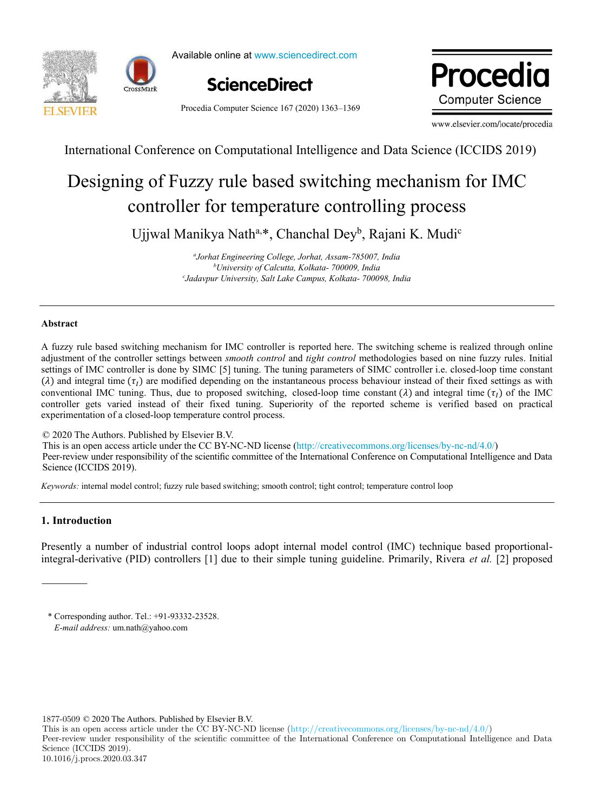





Available online at www.sciencedirect.com



Procedia Computer Science 167 (2020) 1363–1369

Procedi **Computer Science** 

www.elsevier.com/locate/procedia

International Conference on Computational Intelligence and Data Science (ICCIDS 2019)

# Designing of Fuzzy rule based switching mechanism for IMC controller for temperature controlling process

Ujjwal Manikya Nath<sup>a,\*</sup>, Chanchal Dey<sup>b</sup>, Rajani K. Mudi<sup>c</sup>

*a Jorhat Engineering College, Jorhat, Assam-785007, India <sup>b</sup>University of Calcutta, Kolkata- 700009, India c Jadavpur University, Salt Lake Campus, Kolkata- 700098, India* 

#### **Abstract**

settings of IMC controller is done by SIMC [5] tuning. The tuning parameters of SIMC controller i.e. closed-loop time constant ( $\lambda$ ) and integral time ( $\tau_I$ ) are modified depending on the instantaneous process behaviour instead of their fixed settings as with A fuzzy rule based switching mechanism for IMC controller is reported here. The switching scheme is realized through online adjustment of the controller settings between *smooth control* and *tight control* methodologies based on nine fuzzy rules. Initial conventional IMC tuning. Thus, due to proposed switching, closed-loop time constant ( $\lambda$ ) and integral time ( $\tau_l$ ) of the IMC controller gets varied instead of their fixed tuning. Superiority of the reported scheme is verified based on practical experimentation of a closed-loop temperature control process.

© 2020 The Authors. Published by Elsevier B.V.

This is an open access article under the CC BY-NC-ND license (http://creativecommons.org/licenses/by-nc-nd/4.0/) Peer-review under responsibility of the scientific committee of the International Conference on Computational Intelligence and Data Science (ICCIDS 2019).

*Keywords:* internal model control; fuzzy rule based switching; smooth control; tight control; temperature control loop

### **1. Introduction**

Presently a number of industrial control loops adopt internal model control (IMC) technique based proportionalintegral-derivative (PID) controllers [1] due to their simple tuning guideline. Primarily, Rivera *et al.* [2] proposed

1877-0509 © 2020 The Authors. Published by Elsevier B.V.

This is an open access article under the CC BY-NC-ND license (http://creativecommons.org/licenses/by-nc-nd/4.0/)

Peer-review under responsibility of the scientific committee of the International Conference on Computational Intelligence and Data Science (ICCIDS 2019).

<sup>\*</sup> Corresponding author. Tel.: +91-93332-23528. *E-mail address:* um.nath@yahoo.com

<sup>10.1016/</sup>j.procs.2020.03.347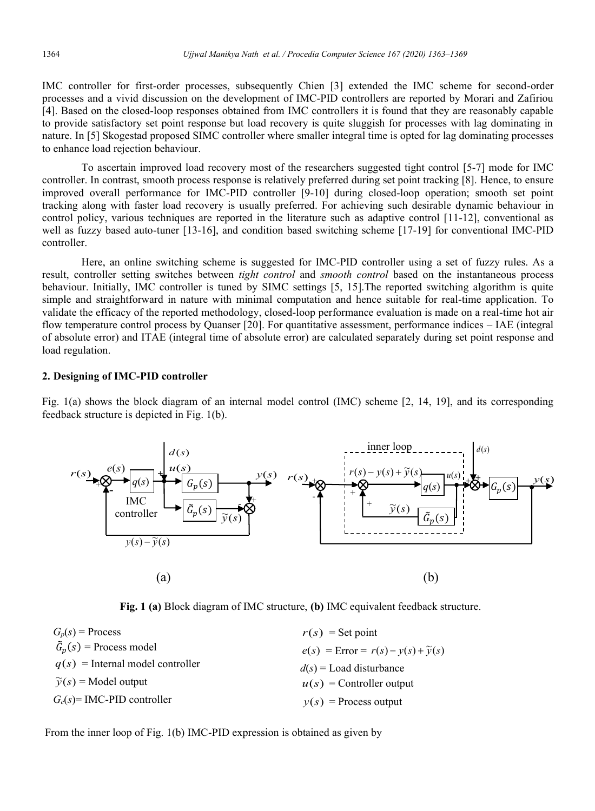IMC controller for first-order processes, subsequently Chien [3] extended the IMC scheme for second-order processes and a vivid discussion on the development of IMC-PID controllers are reported by Morari and Zafiriou [4]. Based on the closed-loop responses obtained from IMC controllers it is found that they are reasonably capable to provide satisfactory set point response but load recovery is quite sluggish for processes with lag dominating in nature. In [5] Skogestad proposed SIMC controller where smaller integral time is opted for lag dominating processes to enhance load rejection behaviour.

To ascertain improved load recovery most of the researchers suggested tight control [5-7] mode for IMC controller. In contrast, smooth process response is relatively preferred during set point tracking [8]. Hence, to ensure improved overall performance for IMC-PID controller [9-10] during closed-loop operation; smooth set point tracking along with faster load recovery is usually preferred. For achieving such desirable dynamic behaviour in control policy, various techniques are reported in the literature such as adaptive control [11-12], conventional as well as fuzzy based auto-tuner [13-16], and condition based switching scheme [17-19] for conventional IMC-PID controller.

Here, an online switching scheme is suggested for IMC-PID controller using a set of fuzzy rules. As a result, controller setting switches between *tight control* and *smooth control* based on the instantaneous process behaviour. Initially, IMC controller is tuned by SIMC settings [5, 15].The reported switching algorithm is quite simple and straightforward in nature with minimal computation and hence suitable for real-time application. To validate the efficacy of the reported methodology, closed-loop performance evaluation is made on a real-time hot air flow temperature control process by Quanser [20]. For quantitative assessment, performance indices – IAE (integral of absolute error) and ITAE (integral time of absolute error) are calculated separately during set point response and load regulation.

### **2. Designing of IMC-PID controller**

Fig. 1(a) shows the block diagram of an internal model control (IMC) scheme [2, 14, 19], and its corresponding feedback structure is depicted in Fig. 1(b).



**Fig. 1 (a)** Block diagram of IMC structure, **(b)** IMC equivalent feedback structure.

| $r(s)$ = Set point                                |  |  |
|---------------------------------------------------|--|--|
| $e(s)$ = Error = $r(s) - y(s) + \widetilde{y}(s)$ |  |  |
| $d(s)$ = Load disturbance                         |  |  |
| $u(s)$ = Controller output                        |  |  |
| $y(s)$ = Process output                           |  |  |
|                                                   |  |  |

From the inner loop of Fig. 1(b) IMC-PID expression is obtained as given by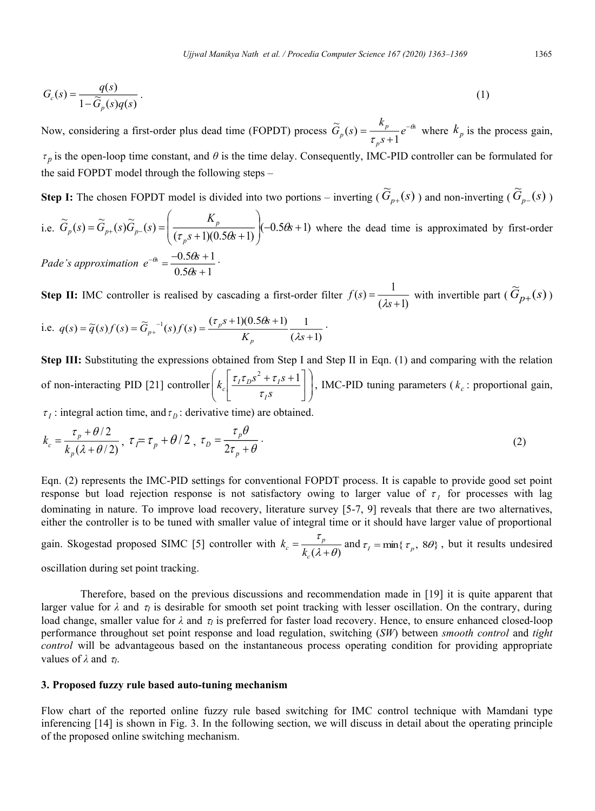$$
G_c(s) = \frac{q(s)}{1 - \widetilde{G}_p(s)q(s)}.
$$
\n<sup>(1)</sup>

Now, considering a first-order plus dead time (FOPDT) process  $\tilde{G}_p(s) = \frac{R_p}{s} e^{-\theta s}$ *p*  $p(s) = \frac{\kappa_p}{\tau_p s + 1} e^{-\frac{\kappa_p}{\tau_p s}}$  $\widetilde{G}_p(s) = \frac{k_p}{s} e^{-\theta}$ τ −  $=\frac{p}{\tau_{p}S+}$  $\widetilde{G}_p(s) = \frac{k_p}{\tau_p s + 1} e^{-\theta s}$  where  $k_p$  is the process gain, *p* is the open-loop time constant, and *θ* is the time delay. Consequently, IMC-PID controller can be formulated for the said FOPDT model through the following steps –

**Step I:** The chosen FOPDT model is divided into two portions – inverting ( $\widetilde{G}_{p+}(s)$ ) and non-inverting ( $\widetilde{G}_{p-}(s)$ )

i.e. 
$$
\widetilde{G}_p(s) = \widetilde{G}_{p+}(s)\widetilde{G}_{p-}(s) = \left(\frac{K_p}{(\tau_p s + 1)(0.56s + 1)}\right)(-0.56s + 1)
$$
 where the dead time is approximated by first-order  
Pade's approximation  $e^{-\theta s} = \frac{-0.56s + 1}{0.56s + 1}$ .

**Step II:** IMC controller is realised by cascading a first-order filter  $f(s) = \frac{f(s)}{f(s+1)}$  $\dot{f}(s) = \frac{1}{\left(\lambda s + \cdots\right)}$ = *s*  $f(s) = \frac{1}{(\lambda s + 1)}$  with invertible part ( $\widetilde{G}_{p+}(s)$ )

i.e. 
$$
q(s) = \tilde{q}(s)f(s) = \tilde{G}_{p+}^{-1}(s)f(s) = \frac{(\tau_p s + 1)(0.56s + 1)}{K_p} \frac{1}{(\lambda s + 1)}
$$
.

**Step III:** Substituting the expressions obtained from Step I and Step II in Eqn. (1) and comparing with the relation of non-interacting PID [21] controller  $\left| k_c \right| \frac{i_1 i_D s + i_1 s + 1}{\tau_{\text{S}} s}$ J  $\setminus$  $\overline{\phantom{a}}$  $\overline{\mathcal{L}}$ ſ  $\overline{\phantom{a}}$  $\frac{1}{2}$  $\overline{\phantom{a}}$  $\mathsf{I}$ L  $\int \tau_I \tau_D s^2 + \tau_I s +$ *s*  $k_c \frac{\tau_I \tau_D s^2 + \tau_I s}{\tau_I}$ *I*  $\tau_c$ <sup> $\frac{\epsilon_I \epsilon_D^3 + \epsilon_I}{\tau_s s}$ </sup>  $\tau_I \tau_D s^2 + \tau_I s + 1$ , IMC-PID tuning parameters ( $k_c$ : proportional gain,

 $\tau$ <sub>*I*</sub> : integral action time, and  $\tau$ <sub>*D*</sub> : derivative time) are obtained.

$$
k_c = \frac{\tau_p + \theta/2}{k_p(\lambda + \theta/2)}, \ \tau_f = \tau_p + \theta/2 \ , \ \tau_D = \frac{\tau_p \theta}{2\tau_p + \theta} \ . \tag{2}
$$

Eqn. (2) represents the IMC-PID settings for conventional FOPDT process. It is capable to provide good set point response but load rejection response is not satisfactory owing to larger value of  $\tau_I$  for processes with lag dominating in nature. To improve load recovery, literature survey [5-7, 9] reveals that there are two alternatives, either the controller is to be tuned with smaller value of integral time or it should have larger value of proportional

gain. Skogestad proposed SIMC [5] controller with  $k_c = \frac{p}{k_c(\lambda + \theta)}$ τ  $=\frac{p}{k_c(\lambda+1)}$ *c*  $k_c = \frac{\epsilon_p}{k_c(\lambda + \theta)}$  and  $\tau_l = \min{\lbrace \tau_p, 8\theta \rbrace}$ , but it results undesired

oscillation during set point tracking.

Therefore, based on the previous discussions and recommendation made in [19] it is quite apparent that larger value for  $\lambda$  and  $\tau_l$  is desirable for smooth set point tracking with lesser oscillation. On the contrary, during load change, smaller value for  $\lambda$  and  $\tau_l$  is preferred for faster load recovery. Hence, to ensure enhanced closed-loop performance throughout set point response and load regulation, switching (*SW*) between *smooth control* and *tight control* will be advantageous based on the instantaneous process operating condition for providing appropriate values of  $\lambda$  and  $\tau_l$ .

#### **3. Proposed fuzzy rule based auto-tuning mechanism**

Flow chart of the reported online fuzzy rule based switching for IMC control technique with Mamdani type inferencing [14] is shown in Fig. 3. In the following section, we will discuss in detail about the operating principle of the proposed online switching mechanism.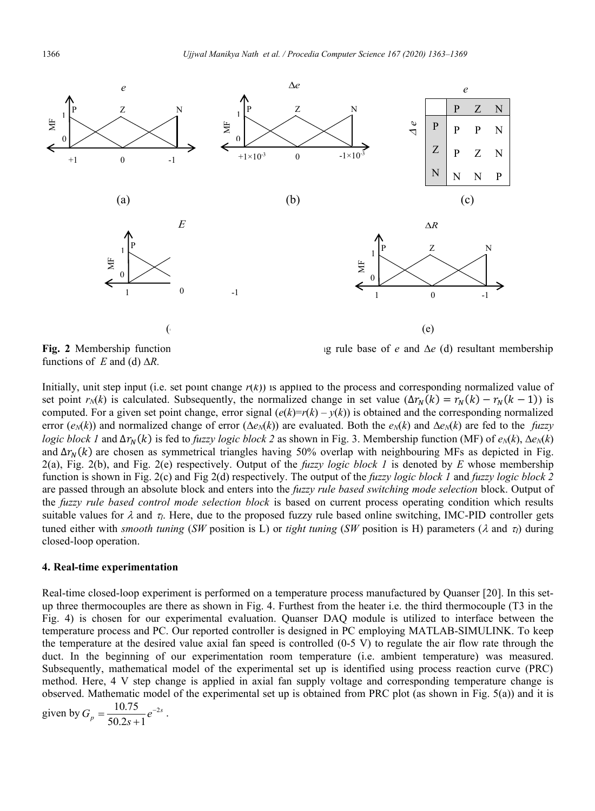

functions of  $E$  and (d)  $\Delta R$ .

**Fig. 2** Membership function **of** *e* (d) resultant membership

Initially, unit step input (i.e. set point change  $r(k)$ ) is applied to the process and corresponding normalized value of set point  $r_N(k)$  is calculated. Subsequently, the normalized change in set value  $(\Delta r_N(k) = r_N(k) - r_N(k-1))$  is computed. For a given set point change, error signal  $(e(k)=r(k)-y(k))$  is obtained and the corresponding normalized error  $(e^N/k)$  and normalized change of error  $(\Delta e^N/k)$  are evaluated. Both the  $e^N/k$  and  $\Delta e^N/k$  are fed to the *fuzzy logic block 1* and  $\Delta r_N(k)$  is fed to *fuzzy logic block 2* as shown in Fig. 3. Membership function (MF) of  $e_N(k)$ ,  $\Delta e_N(k)$ and  $\Delta r_N(k)$  are chosen as symmetrical triangles having 50% overlap with neighbouring MFs as depicted in Fig. 2(a), Fig. 2(b), and Fig. 2(e) respectively. Output of the *fuzzy logic block 1* is denoted by *E* whose membership function is shown in Fig. 2(c) and Fig 2(d) respectively. The output of the *fuzzy logic block 1* and *fuzzy logic block 2* are passed through an absolute block and enters into the *fuzzy rule based switching mode selection* block. Output of the *fuzzy rule based control mode selection block* is based on current process operating condition which results suitable values for  $\lambda$  and  $\tau$ . Here, due to the proposed fuzzy rule based online switching, IMC-PID controller gets tuned either with *smooth tuning* (*SW* position is L) or *tight tuning* (*SW* position is H) parameters ( $\lambda$  and  $\tau_l$ ) during

## **4. Real-time experimentation**

closed-loop operation.

Real-time closed-loop experiment is performed on a temperature process manufactured by Quanser [20]. In this setup three thermocouples are there as shown in Fig. 4. Furthest from the heater i.e. the third thermocouple (T3 in the Fig. 4) is chosen for our experimental evaluation. Quanser DAQ module is utilized to interface between the temperature process and PC. Our reported controller is designed in PC employing MATLAB-SIMULINK. To keep the temperature at the desired value axial fan speed is controlled (0-5 V) to regulate the air flow rate through the duct. In the beginning of our experimentation room temperature (i.e. ambient temperature) was measured. Subsequently, mathematical model of the experimental set up is identified using process reaction curve (PRC) method. Here, 4 V step change is applied in axial fan supply voltage and corresponding temperature change is observed. Mathematic model of the experimental set up is obtained from PRC plot (as shown in Fig. 5(a)) and it is

given by 
$$
G_p = \frac{10.75}{50.2s + 1} e^{-2s}
$$
.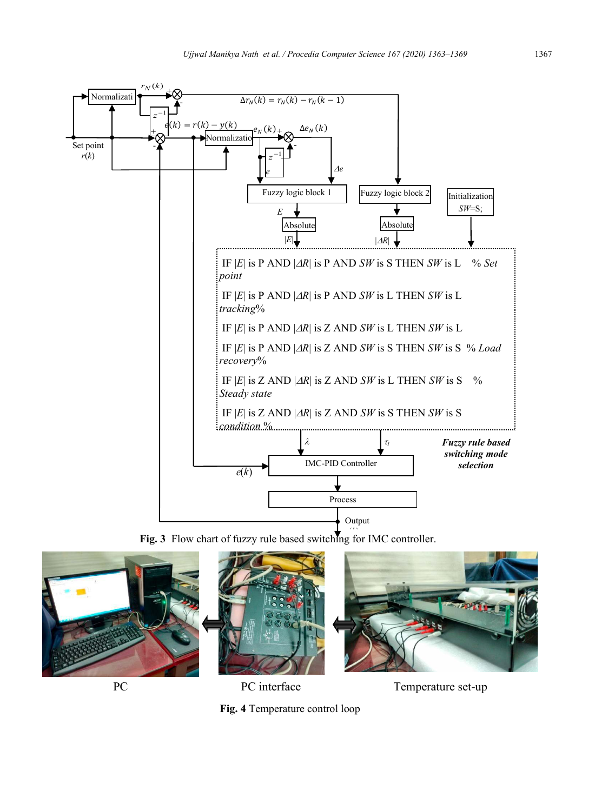

**Fig. 3** Flow chart of fuzzy rule based switching for IMC controller.



**Fig. 4** Temperature control loop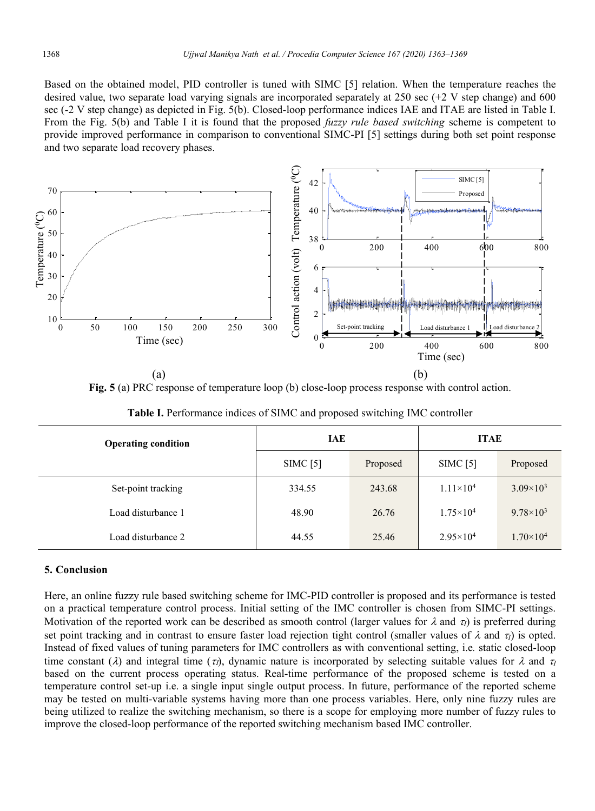Based on the obtained model, PID controller is tuned with SIMC [5] relation. When the temperature reaches the desired value, two separate load varying signals are incorporated separately at 250 sec (+2 V step change) and 600 sec (-2 V step change) as depicted in Fig. 5(b). Closed-loop performance indices IAE and ITAE are listed in Table I. From the Fig. 5(b) and Table I it is found that the proposed *fuzzy rule based switching* scheme is competent to provide improved performance in comparison to conventional SIMC-PI [5] settings during both set point response and two separate load recovery phases.



**Fig. 5** (a) PRC response of temperature loop (b) close-loop process response with control action.

| <b>Operating condition</b> | <b>IAE</b> |          | <b>ITAE</b>        |                    |
|----------------------------|------------|----------|--------------------|--------------------|
|                            | SIMC[5]    | Proposed | SIMC[5]            | Proposed           |
| Set-point tracking         | 334.55     | 243.68   | $1.11 \times 10^4$ | $3.09\times10^{3}$ |
| Load disturbance 1         | 48.90      | 26.76    | $1.75 \times 10^4$ | $9.78 \times 10^3$ |
| Load disturbance 2         | 44.55      | 25.46    | $2.95 \times 10^4$ | $1.70\times10^{4}$ |

**Table I.** Performance indices of SIMC and proposed switching IMC controller

#### **5. Conclusion**

Here, an online fuzzy rule based switching scheme for IMC-PID controller is proposed and its performance is tested on a practical temperature control process. Initial setting of the IMC controller is chosen from SIMC-PI settings. Motivation of the reported work can be described as smooth control (larger values for  $\lambda$  and  $\tau$ ) is preferred during set point tracking and in contrast to ensure faster load rejection tight control (smaller values of  $\lambda$  and  $\tau_l$ ) is opted. Instead of fixed values of tuning parameters for IMC controllers as with conventional setting, i.e*.* static closed-loop time constant ( $\lambda$ ) and integral time ( $\tau_l$ ), dynamic nature is incorporated by selecting suitable values for  $\lambda$  and  $\tau_l$ based on the current process operating status. Real-time performance of the proposed scheme is tested on a temperature control set-up i.e. a single input single output process. In future, performance of the reported scheme may be tested on multi-variable systems having more than one process variables. Here, only nine fuzzy rules are being utilized to realize the switching mechanism, so there is a scope for employing more number of fuzzy rules to improve the closed-loop performance of the reported switching mechanism based IMC controller.